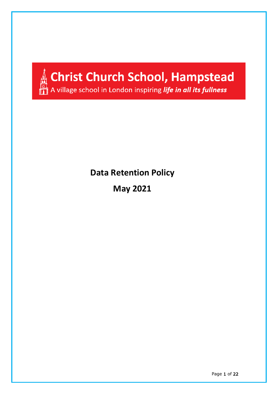

**Data Retention Policy**

**May 2021**

Page 1 of 22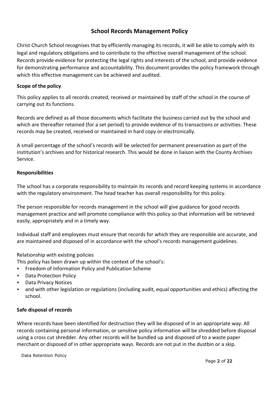## **School Records Management Policy**

Christ Church School recognises that by efficiently managing its records, it will be able to comply with its legal and regulatory obligations and to contribute to the effective overall management of the school. Records provide evidence for protecting the legal rights and interests of the school, and provide evidence for demonstrating performance and accountability. This document provides the policy framework through which this effective management can be achieved and audited.

## **Scope of the policy**

This policy applies to all records created, received or maintained by staff of the school in the course of carrying out its functions.

Records are defined as all those documents which facilitate the business carried out by the school and which are thereafter retained (for a set period) to provide evidence of its transactions or activities. These records may be created, received or maintained in hard copy or electronically.

A small percentage of the school's records will be selected for permanent preservation as part of the institution's archives and for historical research. This would be done in liaison with the County Archives Service.

#### **Responsibilities**

The school has a corporate responsibility to maintain its records and record keeping systems in accordance with the regulatory environment. The head teacher has overall responsibility for this policy.

The person responsible for records management in the school will give guidance for good records management practice and will promote compliance with this policy so that information will be retrieved easily, appropriately and in a timely way.

Individual staff and employees must ensure that records for which they are responsible are accurate, and are maintained and disposed of in accordance with the school's records management guidelines.

## Relationship with existing policies

This policy has been drawn up within the context of the school's:

- Freedom of Information Policy and Publication Scheme
- Data Protection Policy
- Data Privacy Notices
- and with other legislation or regulations (including audit, equal opportunities and ethics) affecting the school.

#### **Safe disposal of records**

Where records have been identified for destruction they will be disposed of in an appropriate way. All records containing personal information, or sensitive policy information will be shredded before disposal using a cross cut shredder. Any other records will be bundled up and disposed of to a waste paper merchant or disposed of in other appropriate ways. Records are not put in the dustbin or a skip.

Data Retention Policy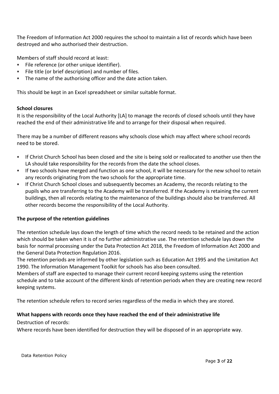The Freedom of Information Act 2000 requires the school to maintain a list of records which have been destroyed and who authorised their destruction.

Members of staff should record at least:

- File reference (or other unique identifier).
- File title (or brief description) and number of files.
- The name of the authorising officer and the date action taken.

This should be kept in an Excel spreadsheet or similar suitable format.

#### **School closures**

It is the responsibility of the Local Authority [LA] to manage the records of closed schools until they have reached the end of their administrative life and to arrange for their disposal when required.

There may be a number of different reasons why schools close which may affect where school records need to be stored.

- If Christ Church School has been closed and the site is being sold or reallocated to another use then the LA should take responsibility for the records from the date the school closes.
- If two schools have merged and function as one school, it will be necessary for the new school to retain any records originating from the two schools for the appropriate time.
- If Christ Church School closes and subsequently becomes an Academy, the records relating to the pupils who are transferring to the Academy will be transferred. If the Academy is retaining the current buildings, then all records relating to the maintenance of the buildings should also be transferred. All other records become the responsibility of the Local Authority.

## **The purpose of the retention guidelines**

The retention schedule lays down the length of time which the record needs to be retained and the action which should be taken when it is of no further administrative use. The retention schedule lays down the basis for normal processing under the Data Protection Act 2018, the Freedom of Information Act 2000 and the General Data Protection Regulation 2016.

The retention periods are informed by other legislation such as Education Act 1995 and the Limitation Act 1990. The Information Management Toolkit for schools has also been consulted.

Members of staff are expected to manage their current record keeping systems using the retention schedule and to take account of the different kinds of retention periods when they are creating new record keeping systems.

The retention schedule refers to record series regardless of the media in which they are stored.

## **What happens with records once they have reached the end of their administrative life**

Destruction of records:

Where records have been identified for destruction they will be disposed of in an appropriate way.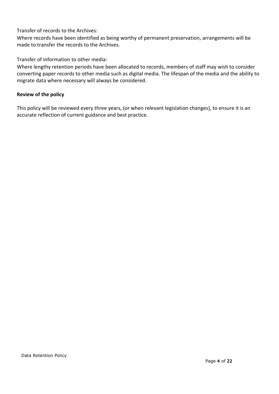## Transfer of records to the Archives:

Where records have been identified as being worthy of permanent preservation, arrangements will be made to transfer the records to the Archives.

Transfer of information to other media:

Where lengthy retention periods have been allocated to records, members of staff may wish to consider converting paper records to other media such as digital media. The lifespan of the media and the ability to migrate data where necessary will always be considered.

### **Review of the policy**

This policy will be reviewed every three years, (or when relevant legislation changes), to ensure it is an accurate reflection of current guidance and best practice.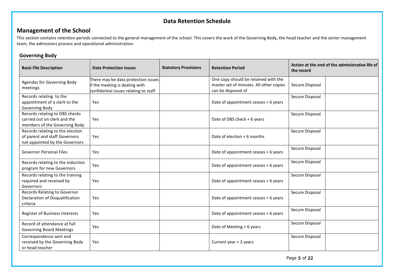## **Data Retention Schedule**

## **Management of the School**

This section contains retention periods connected to the general management of the school. This covers the work of the Governing Body, the head teacher and the senior management team, the admissions process and operational administration.

#### **Governing Body**

| <b>Basic File Description</b>                                                                       | <b>Data Protection Issues</b>                                                                                  | <b>Statutory Provisions</b> | <b>Retention Period</b>                                                                               | Action at the end of the administrative life of<br>the record |
|-----------------------------------------------------------------------------------------------------|----------------------------------------------------------------------------------------------------------------|-----------------------------|-------------------------------------------------------------------------------------------------------|---------------------------------------------------------------|
| Agendas for Governing Body<br>meetings                                                              | There may be data protection issues<br>if the meeting is dealing with<br>confidential issues relating to staff |                             | One copy should be retained with the<br>master set of minutes. All other copies<br>can be disposed of | Secure Disposal                                               |
| Records relating to the<br>appointment of a clerk to the<br>Governing Body                          | Yes                                                                                                            |                             | Date of appointment ceases + 6 years                                                                  | Secure Disposal                                               |
| Records relating to DBS checks<br>carried out on clerk and the<br>members of the Governing Body     | Yes                                                                                                            |                             | Date of DBS check + 6 years                                                                           | Secure Disposal                                               |
| Records relating to the election<br>of parent and staff Governors<br>not appointed by the Governors | Yes                                                                                                            |                             | Date of election $+6$ months                                                                          | Secure Disposal                                               |
| <b>Governor Personal Files</b>                                                                      | Yes                                                                                                            |                             | Date of appointment ceases + 6 years                                                                  | Secure Disposal                                               |
| Records relating to the induction<br>program for new Governors                                      | Yes                                                                                                            |                             | Date of appointment ceases + 6 years                                                                  | Secure Disposal                                               |
| Records relating to the training<br>required and received by<br>Governors                           | Yes                                                                                                            |                             | Date of appointment ceases + 6 years                                                                  | Secure Disposal                                               |
| Records Relating to Governor<br>Declaration of Disqualification<br>criteria                         | Yes                                                                                                            |                             | Date of appointment ceases + 6 years                                                                  | Secure Disposal                                               |
| Register of Business Interests                                                                      | Yes                                                                                                            |                             | Date of appointment ceases + 6 years                                                                  | Secure Disposal                                               |
| Record of attendance at full<br><b>Governing Board Meetings</b>                                     | Yes                                                                                                            |                             | Date of Meeting + 6 years                                                                             | Secure Disposal                                               |
| Correspondence sent and<br>received by the Governing Body<br>or head teacher                        | Yes                                                                                                            |                             | Current year + 3 years                                                                                | Secure Disposal                                               |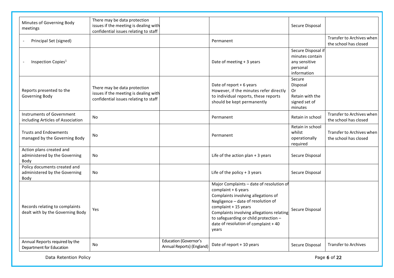| Minutes of Governing Body<br>meetings                                 | There may be data protection<br>issues if the meeting is dealing with<br>confidential issues relating to staff |                                                           |                                                                                                                                                                                                                                                                                                              | Secure Disposal                                                                   |                                                    |
|-----------------------------------------------------------------------|----------------------------------------------------------------------------------------------------------------|-----------------------------------------------------------|--------------------------------------------------------------------------------------------------------------------------------------------------------------------------------------------------------------------------------------------------------------------------------------------------------------|-----------------------------------------------------------------------------------|----------------------------------------------------|
| Principal Set (signed)                                                |                                                                                                                |                                                           | Permanent                                                                                                                                                                                                                                                                                                    |                                                                                   | Transfer to Archives when<br>the school has closed |
| Inspection Copies <sup>1</sup>                                        |                                                                                                                |                                                           | Date of meeting + 3 years                                                                                                                                                                                                                                                                                    | Secure Disposal if<br>minutes contain<br>any sensitive<br>personal<br>information |                                                    |
| Reports presented to the<br>Governing Body                            | There may be data protection<br>issues if the meeting is dealing with<br>confidential issues relating to staff |                                                           | Date of report + 6 years<br>However, if the minutes refer directly<br>to individual reports, these reports<br>should be kept permanently                                                                                                                                                                     | Secure<br>Disposal<br>0r<br>Retain with the<br>signed set of<br>minutes           |                                                    |
| Instruments of Government<br>including Articles of Association        | No                                                                                                             |                                                           | Permanent                                                                                                                                                                                                                                                                                                    | Retain in school                                                                  | Transfer to Archives when<br>the school has closed |
| <b>Trusts and Endowments</b><br>managed by the Governing Body         | No                                                                                                             |                                                           | Permanent                                                                                                                                                                                                                                                                                                    | Retain in school<br>whilst<br>operationally<br>required                           | Transfer to Archives when<br>the school has closed |
| Action plans created and<br>administered by the Governing<br>Body     | <b>No</b>                                                                                                      |                                                           | Life of the action plan $+3$ years                                                                                                                                                                                                                                                                           | Secure Disposal                                                                   |                                                    |
| Policy documents created and<br>administered by the Governing<br>Body | No                                                                                                             |                                                           | Life of the policy $+3$ years                                                                                                                                                                                                                                                                                | Secure Disposal                                                                   |                                                    |
| Records relating to complaints<br>dealt with by the Governing Body    | Yes                                                                                                            |                                                           | Major Complaints - date of resolution of<br>complaint $+6$ years<br>Complaints involving allegations of<br>Negligence - date of resolution of<br>complaint + 15 years<br>Complaints involving allegations relating<br>to safeguarding or child protection -<br>date of resolution of complaint + 40<br>years | Secure Disposal                                                                   |                                                    |
| Annual Reports required by the<br>Department for Education            | No                                                                                                             | <b>Education (Governor's</b><br>Annual Reports) (England) | Date of report + 10 years                                                                                                                                                                                                                                                                                    | Secure Disposal                                                                   | <b>Transfer to Archives</b>                        |

Data Retention Policy **Page 6 of 22** Page 6 of 22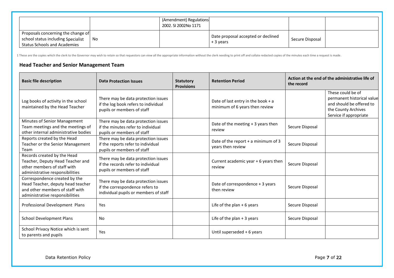|                                                                                                                 |     | (Amendment) Regulations<br>2002. SI 2002No 1171 |                                                 |                 |  |
|-----------------------------------------------------------------------------------------------------------------|-----|-------------------------------------------------|-------------------------------------------------|-----------------|--|
| Proposals concerning the change of<br>school status including Specialist<br><b>Status Schools and Academies</b> | No. |                                                 | Date proposal accepted or declined<br>+ 3 years | Secure Disposal |  |

1 These are the copies which the clerk to the Governor may wish to retain so that requestors can view all the appropriate information without the clerk needing to print off and collate redacted copies of the minutes each t

#### **Head Teacher and Senior Management Team**

| <b>Basic file description</b>                                                                                                            | <b>Data Protection Issues</b>                                                                                   | <b>Statutory</b><br><b>Provisions</b> | <b>Retention Period</b>                                                | the record      | Action at the end of the administrative life of                                                                              |
|------------------------------------------------------------------------------------------------------------------------------------------|-----------------------------------------------------------------------------------------------------------------|---------------------------------------|------------------------------------------------------------------------|-----------------|------------------------------------------------------------------------------------------------------------------------------|
| Log books of activity in the school<br>maintained by the Head Teacher                                                                    | There may be data protection issues<br>if the log book refers to individual<br>pupils or members of staff       |                                       | Date of last entry in the book + $a$<br>minimum of 6 years then review |                 | These could be of<br>permanent historical value<br>and should be offered to<br>the County Archives<br>Service if appropriate |
| Minutes of Senior Management<br>Team meetings and the meetings of<br>other internal administrative bodies                                | There may be data protection issues<br>if the minutes refer to individual<br>pupils or members of staff         |                                       | Date of the meeting $+3$ years then<br>review                          | Secure Disposal |                                                                                                                              |
| Reports created by the Head<br>Teacher or the Senior Management<br>Team                                                                  | There may be data protection issues<br>if the reports refer to individual<br>pupils or members of staff         |                                       | Date of the report + a minimum of 3<br>years then review               | Secure Disposal |                                                                                                                              |
| Records created by the Head<br>Teacher, Deputy Head Teacher and<br>other members of staff with<br>administrative responsibilities        | There may be data protection issues<br>if the records refer to individual<br>pupils or members of staff         |                                       | Current academic year + 6 years then<br>review                         | Secure Disposal |                                                                                                                              |
| Correspondence created by the<br>Head Teacher, deputy head teacher<br>and other members of staff with<br>administrative responsibilities | There may be data protection issues<br>if the correspondence refers to<br>individual pupils or members of staff |                                       | Date of correspondence + 3 years<br>then review                        | Secure Disposal |                                                                                                                              |
| Professional Development Plans                                                                                                           | Yes                                                                                                             |                                       | Life of the plan $+6$ years                                            | Secure Disposal |                                                                                                                              |
| <b>School Development Plans</b>                                                                                                          | No                                                                                                              |                                       | Life of the plan $+3$ years                                            | Secure Disposal |                                                                                                                              |
| School Privacy Notice which is sent<br>to parents and pupils                                                                             | Yes                                                                                                             |                                       | Until superseded + 6 years                                             |                 |                                                                                                                              |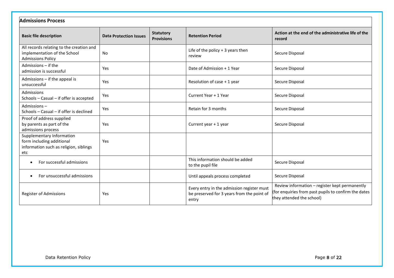| <b>Admissions Process</b>                                                                               |                               |                                       |                                                                                                   |                                                                                                                                    |  |
|---------------------------------------------------------------------------------------------------------|-------------------------------|---------------------------------------|---------------------------------------------------------------------------------------------------|------------------------------------------------------------------------------------------------------------------------------------|--|
| <b>Basic file description</b>                                                                           | <b>Data Protection Issues</b> | <b>Statutory</b><br><b>Provisions</b> | <b>Retention Period</b>                                                                           | Action at the end of the administrative life of the<br>record                                                                      |  |
| All records relating to the creation and<br>implementation of the School<br><b>Admissions Policy</b>    | No                            |                                       | Life of the policy $+3$ years then<br>review                                                      | Secure Disposal                                                                                                                    |  |
| Admissions - if the<br>admission is successful                                                          | Yes                           |                                       | Date of Admission + 1 Year                                                                        | Secure Disposal                                                                                                                    |  |
| Admissions - if the appeal is<br>unsuccessful                                                           | Yes                           |                                       | Resolution of case + 1 year                                                                       | Secure Disposal                                                                                                                    |  |
| Admissions<br>Schools - Casual - if offer is accepted                                                   | Yes                           |                                       | Current Year + 1 Year                                                                             | Secure Disposal                                                                                                                    |  |
| Admissions-<br>Schools - Casual - if offer is declined                                                  | Yes                           |                                       | Retain for 3 months                                                                               | Secure Disposal                                                                                                                    |  |
| Proof of address supplied<br>by parents as part of the<br>admissions process                            | Yes                           |                                       | Current year + 1 year                                                                             | Secure Disposal                                                                                                                    |  |
| Supplementary Information<br>form including additional<br>information such as religion, siblings<br>etc | Yes                           |                                       |                                                                                                   |                                                                                                                                    |  |
| For successful admissions                                                                               |                               |                                       | This information should be added<br>to the pupil file                                             | Secure Disposal                                                                                                                    |  |
| For unsuccessful admissions                                                                             |                               |                                       | Until appeals process completed                                                                   | Secure Disposal                                                                                                                    |  |
| Register of Admissions                                                                                  | Yes                           |                                       | Every entry in the admission register must<br>be preserved for 3 years from the point of<br>entry | Review information - register kept permanently<br>for enquiries from past pupils to confirm the dates<br>they attended the school) |  |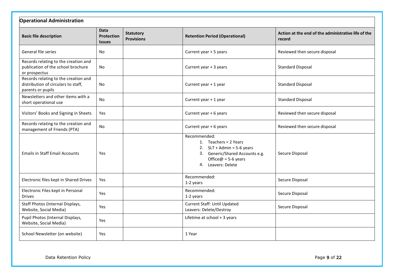| <b>Operational Administration</b>                                                                |                                                   |                                       |                                                                                                                                                             |                                                               |
|--------------------------------------------------------------------------------------------------|---------------------------------------------------|---------------------------------------|-------------------------------------------------------------------------------------------------------------------------------------------------------------|---------------------------------------------------------------|
| <b>Basic file description</b>                                                                    | <b>Data</b><br><b>Protection</b><br><b>Issues</b> | <b>Statutory</b><br><b>Provisions</b> | <b>Retention Period (Operational)</b>                                                                                                                       | Action at the end of the administrative life of the<br>record |
| General file series                                                                              | No                                                |                                       | Current year + 5 years                                                                                                                                      | Reviewed then secure disposal                                 |
| Records relating to the creation and<br>publication of the school brochure<br>or prospectus      | No                                                |                                       | Current year + 3 years                                                                                                                                      | <b>Standard Disposal</b>                                      |
| Records relating to the creation and<br>distribution of circulars to staff,<br>parents or pupils | No                                                |                                       | Current year + 1 year                                                                                                                                       | <b>Standard Disposal</b>                                      |
| Newsletters and other items with a<br>short operational use                                      | <b>No</b>                                         |                                       | Current year + 1 year                                                                                                                                       | <b>Standard Disposal</b>                                      |
| Visitors' Books and Signing in Sheets                                                            | Yes                                               |                                       | Current year + 6 years                                                                                                                                      | Reviewed then secure disposal                                 |
| Records relating to the creation and<br>management of Friends (PTA)                              | <b>No</b>                                         |                                       | Current year + 6 years                                                                                                                                      | Reviewed then secure disposal                                 |
| <b>Emails in Staff Email Accounts</b>                                                            | Yes                                               |                                       | Recommended:<br>1. Teachers = 2 Years<br>2. $SLT + Admin = 5-6$ years<br>3. Generic/Shared Accounts e.g.<br>Office $@ = 5-6$ years<br>Leavers: Delete<br>4. | Secure Disposal                                               |
| Electronic files kept in Shared Drives                                                           | Yes                                               |                                       | Recommended:<br>1-2 years                                                                                                                                   | Secure Disposal                                               |
| Electronic Files kept in Personal<br><b>Drives</b>                                               | Yes                                               |                                       | Recommended:<br>1-2 years                                                                                                                                   | Secure Disposal                                               |
| Staff Photos (Internal Displays,<br>Website, Social Media)                                       | Yes                                               |                                       | Current Staff: Until Updated<br>Leavers: Delete/Destroy                                                                                                     | Secure Disposal                                               |
| Pupil Photos (Internal Displays,<br>Website, Social Media)                                       | Yes                                               |                                       | Lifetime at school + 3 years                                                                                                                                |                                                               |
| School Newsletter (on website)                                                                   | Yes                                               |                                       | 1 Year                                                                                                                                                      |                                                               |

Data Retention Policy **Page 9 of 22** Page 9 of 22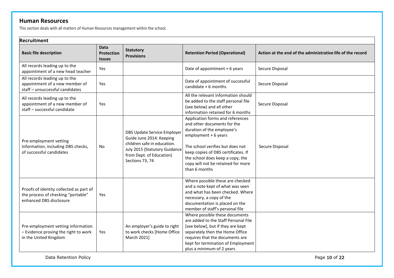## **Human Resources**

This section deals with all matters of Human Resources management within the school.

| Recruitment                                                                                              |                                            |                                                                                                                                                                        |                                                                                                                                                                                                                                                                                             |                                                            |  |  |
|----------------------------------------------------------------------------------------------------------|--------------------------------------------|------------------------------------------------------------------------------------------------------------------------------------------------------------------------|---------------------------------------------------------------------------------------------------------------------------------------------------------------------------------------------------------------------------------------------------------------------------------------------|------------------------------------------------------------|--|--|
| <b>Basic file description</b>                                                                            | <b>Data</b><br>Protection<br><b>Issues</b> | <b>Statutory</b><br><b>Provisions</b>                                                                                                                                  | <b>Retention Period (Operational)</b>                                                                                                                                                                                                                                                       | Action at the end of the administrative life of the record |  |  |
| All records leading up to the<br>appointment of a new head teacher                                       | Yes                                        |                                                                                                                                                                        | Date of appointment + 6 years                                                                                                                                                                                                                                                               | Secure Disposal                                            |  |  |
| All records leading up to the<br>appointment of a new member of<br>staff - unsuccessful candidates       | Yes                                        |                                                                                                                                                                        | Date of appointment of successful<br>candidate $+6$ months                                                                                                                                                                                                                                  | Secure Disposal                                            |  |  |
| All records leading up to the<br>appointment of a new member of<br>staff - successful candidate          | Yes                                        |                                                                                                                                                                        | All the relevant information should<br>be added to the staff personal file<br>(see below) and all other<br>information retained for 6 months                                                                                                                                                | Secure Disposal                                            |  |  |
| Pre-employment vetting<br>Information, including DBS checks,<br>of successful candidates                 | No                                         | DBS Update Service Employer<br>Guide June 2014: Keeping<br>children safe in education.<br>July 2015 (Statutory Guidance<br>from Dept. of Education)<br>Sections 73, 74 | Application forms and references<br>and other documents for the<br>duration of the employee's<br>employment + 6 years<br>The school verifies but does not<br>keep copies of DBS certificates. If<br>the school does keep a copy, the<br>copy will not be retained for more<br>than 6 months | Secure Disposal                                            |  |  |
| Proofs of identity collected as part of<br>the process of checking "portable"<br>enhanced DBS disclosure | Yes                                        |                                                                                                                                                                        | Where possible these are checked<br>and a note kept of what was seen<br>and what has been checked. Where<br>necessary, a copy of the<br>documentation is placed on the<br>member of staff's personal file                                                                                   |                                                            |  |  |
| Pre-employment vetting information<br>- Evidence proving the right to work<br>in the United Kingdom      | Yes                                        | An employer's guide to right<br>to work checks [Home Office<br>March 2021]                                                                                             | Where possible these documents<br>are added to the Staff Personal File<br>[see below], but if they are kept<br>separately then the Home Office<br>requires that the documents are<br>kept for termination of Employment<br>plus a minimum of 2 years                                        |                                                            |  |  |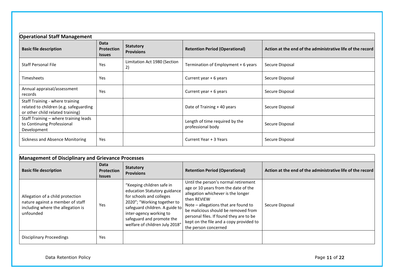| <b>Operational Staff Management</b>                                                                           |                                                   |                                       |                                                     |                                                            |  |
|---------------------------------------------------------------------------------------------------------------|---------------------------------------------------|---------------------------------------|-----------------------------------------------------|------------------------------------------------------------|--|
| <b>Basic file description</b>                                                                                 | <b>Data</b><br><b>Protection</b><br><b>Issues</b> | <b>Statutory</b><br><b>Provisions</b> | <b>Retention Period (Operational)</b>               | Action at the end of the administrative life of the record |  |
| <b>Staff Personal File</b>                                                                                    | Yes                                               | Limitation Act 1980 (Section<br>2)    | Termination of Employment + 6 years                 | Secure Disposal                                            |  |
| <b>Timesheets</b>                                                                                             | Yes                                               |                                       | Current year + 6 years                              | Secure Disposal                                            |  |
| Annual appraisal/assessment<br>records                                                                        | Yes                                               |                                       | Current year + 6 years                              | Secure Disposal                                            |  |
| Staff Training - where training<br>related to children (e.g. safeguarding<br>or other child related training) |                                                   |                                       | Date of Training + 40 years                         | Secure Disposal                                            |  |
| Staff Training - where training leads<br>to Continuing Professional<br>Development                            |                                                   |                                       | Length of time required by the<br>professional body | Secure Disposal                                            |  |
| Sickness and Absence Monitoring                                                                               | Yes                                               |                                       | Current Year + 3 Years                              | Secure Disposal                                            |  |

| <b>Management of Disciplinary and Grievance Processes</b>                                                              |                                     |                                                                                                                                                                                                                                                  |                                                                                                                                                                                                                                                                                                                                |                                                            |  |
|------------------------------------------------------------------------------------------------------------------------|-------------------------------------|--------------------------------------------------------------------------------------------------------------------------------------------------------------------------------------------------------------------------------------------------|--------------------------------------------------------------------------------------------------------------------------------------------------------------------------------------------------------------------------------------------------------------------------------------------------------------------------------|------------------------------------------------------------|--|
| <b>Basic file description</b>                                                                                          | Data<br>Protection<br><b>Issues</b> | <b>Statutory</b><br><b>Provisions</b>                                                                                                                                                                                                            | <b>Retention Period (Operational)</b>                                                                                                                                                                                                                                                                                          | Action at the end of the administrative life of the record |  |
| Allegation of a child protection<br>nature against a member of staff<br>including where the allegation is<br>unfounded | Yes                                 | "Keeping children safe in<br>education Statutory guidance<br>for schools and colleges<br>2020"; "Working together to<br>safeguard children. A guide to<br>inter-agency working to<br>safeguard and promote the<br>welfare of children July 2018" | Until the person's normal retirement<br>age or 10 years from the date of the<br>allegation whichever is the longer<br>then REVIEW<br>Note - allegations that are found to<br>be malicious should be removed from<br>personal files. If found they are to be<br>kept on the file and a copy provided to<br>the person concerned | Secure Disposal                                            |  |
| <b>Disciplinary Proceedings</b>                                                                                        | Yes                                 |                                                                                                                                                                                                                                                  |                                                                                                                                                                                                                                                                                                                                |                                                            |  |

Data Retention Policy **Page 11 of 22** Page 11 of 22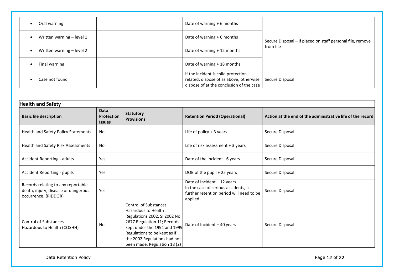| Oral warning              |  | Date of warning + 6 months                                                                                                 |                                                            |
|---------------------------|--|----------------------------------------------------------------------------------------------------------------------------|------------------------------------------------------------|
| Written warning - level 1 |  | Date of warning $+6$ months                                                                                                | Secure Disposal - if placed on staff personal file, remove |
| Written warning - level 2 |  | Date of warning + 12 months                                                                                                | from file                                                  |
| Final warning             |  | Date of warning + 18 months                                                                                                |                                                            |
| Case not found            |  | If the incident is child protection<br>related, dispose of as above; otherwise<br>dispose of at the conclusion of the case | Secure Disposal                                            |

| <b>Health and Safety</b>                                                                          |                                                   |                                                                                                                                                                                                                                                    |                                                                                                                           |                                                            |  |
|---------------------------------------------------------------------------------------------------|---------------------------------------------------|----------------------------------------------------------------------------------------------------------------------------------------------------------------------------------------------------------------------------------------------------|---------------------------------------------------------------------------------------------------------------------------|------------------------------------------------------------|--|
| <b>Basic file description</b>                                                                     | <b>Data</b><br><b>Protection</b><br><b>Issues</b> | <b>Statutory</b><br><b>Provisions</b>                                                                                                                                                                                                              | <b>Retention Period (Operational)</b>                                                                                     | Action at the end of the administrative life of the record |  |
| Health and Safety Policy Statements                                                               | No                                                |                                                                                                                                                                                                                                                    | Life of policy $+3$ years                                                                                                 | Secure Disposal                                            |  |
| Health and Safety Risk Assessments                                                                | <b>No</b>                                         |                                                                                                                                                                                                                                                    | Life of risk assessment + 3 years                                                                                         | Secure Disposal                                            |  |
| Accident Reporting - adults                                                                       | Yes                                               |                                                                                                                                                                                                                                                    | Date of the incident +6 years                                                                                             | Secure Disposal                                            |  |
| Accident Reporting - pupils                                                                       | Yes                                               |                                                                                                                                                                                                                                                    | DOB of the pupil + 25 years                                                                                               | Secure Disposal                                            |  |
| Records relating to any reportable<br>death, injury, disease or dangerous<br>occurrence. (RIDDOR) | Yes                                               |                                                                                                                                                                                                                                                    | Date of Incident + 12 years<br>In the case of serious accidents, a<br>further retention period will need to be<br>applied | Secure Disposal                                            |  |
| <b>Control of Substances</b><br>Hazardous to Health (COSHH)                                       | No                                                | <b>Control of Substances</b><br>Hazardous to Health<br>Regulations 2002. SI 2002 No<br>2677 Regulation 11; Records<br>kept under the 1994 and 1999<br>Regulations to be kept as if<br>the 2002 Regulations had not<br>been made. Regulation 18 (2) | Date of Incident + 40 years                                                                                               | Secure Disposal                                            |  |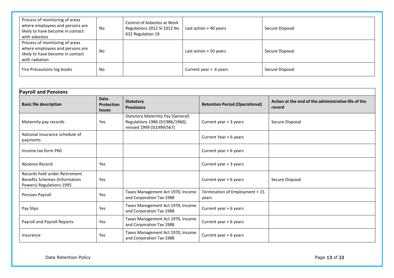| Process of monitoring of areas<br>where employees and persons are<br>likely to have become in contact<br>with asbestos  | No | Control of Asbestos at Work<br>Regulations 2012 SI 1012 No<br>632 Regulation 19 | Last action $+$ 40 years | Secure Disposal |
|-------------------------------------------------------------------------------------------------------------------------|----|---------------------------------------------------------------------------------|--------------------------|-----------------|
| Process of monitoring of areas<br>where employees and persons are<br>likely to have become in contact<br>with radiation | No |                                                                                 | Last action + 50 years   | Secure Disposal |
| Fire Precautions log books                                                                                              | No |                                                                                 | Current year + 6 years   | Secure Disposal |

| <b>Payroll and Pensions</b>                                                                       |                                                   |                                                                                                          |                                         |                                                               |  |
|---------------------------------------------------------------------------------------------------|---------------------------------------------------|----------------------------------------------------------------------------------------------------------|-----------------------------------------|---------------------------------------------------------------|--|
| <b>Basic file description</b>                                                                     | <b>Data</b><br><b>Protection</b><br><b>Issues</b> | <b>Statutory</b><br><b>Provisions</b>                                                                    | <b>Retention Period (Operational)</b>   | Action at the end of the administrative life of the<br>record |  |
| Maternity pay records                                                                             | Yes                                               | <b>Statutory Maternity Pay (General)</b><br>Regulations 1986 (SI1986/1960),<br>revised 1999 (SI1999/567) | Current year + 3 years                  | Secure Disposal                                               |  |
| National Insurance schedule of<br>payments                                                        |                                                   |                                                                                                          | Current Year + 6 years                  |                                                               |  |
| Income tax form P60                                                                               |                                                   |                                                                                                          | Current year + 6 years                  |                                                               |  |
| Absence Record                                                                                    | Yes                                               |                                                                                                          | Current year + 3 years                  |                                                               |  |
| Records held under Retirement<br><b>Benefits Schemes (Information</b><br>Powers) Regulations 1995 | Yes                                               |                                                                                                          | Current year + 6 years                  | Secure Disposal                                               |  |
| Pension Payroll                                                                                   | Yes                                               | Taxes Management Act 1970, Income<br>and Corporation Tax 1988                                            | Termination of Employment + 15<br>years |                                                               |  |
| Pay Slips                                                                                         | Yes                                               | Taxes Management Act 1970, Income<br>and Corporation Tax 1988                                            | Current year + 6 years                  |                                                               |  |
| Payroll and Payroll Reports                                                                       | Yes                                               | Taxes Management Act 1970, Income<br>and Corporation Tax 1988                                            | Current year + 6 years                  |                                                               |  |
| Insurance                                                                                         | Yes                                               | Taxes Management Act 1970, Income<br>and Corporation Tax 1988                                            | Current year + 6 years                  |                                                               |  |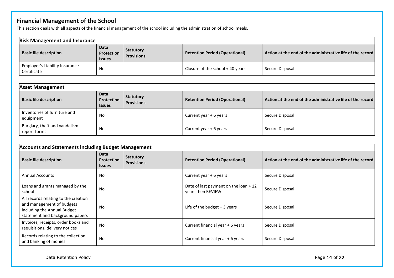# **Financial Management of the School**

This section deals with all aspects of the financial management of the school including the administration of school meals.

| <b>Risk Management and Insurance</b>          |                                     |                                       |                                       |                                                            |
|-----------------------------------------------|-------------------------------------|---------------------------------------|---------------------------------------|------------------------------------------------------------|
| <b>Basic file description</b>                 | Data<br>Protection<br><b>Issues</b> | <b>Statutory</b><br><b>Provisions</b> | <b>Retention Period (Operational)</b> | Action at the end of the administrative life of the record |
| Employer's Liability Insurance<br>Certificate | No                                  |                                       | Closure of the school $+$ 40 years    | Secure Disposal                                            |

| <b>Asset Management</b>                       |                                     |                                       |                                       |                                                            |
|-----------------------------------------------|-------------------------------------|---------------------------------------|---------------------------------------|------------------------------------------------------------|
| <b>Basic file description</b>                 | Data<br>Protection<br><b>Issues</b> | <b>Statutory</b><br><b>Provisions</b> | <b>Retention Period (Operational)</b> | Action at the end of the administrative life of the record |
| Inventories of furniture and<br>equipment     | No                                  |                                       | Current year + 6 years                | Secure Disposal                                            |
| Burglary, theft and vandalism<br>report forms | No                                  |                                       | Current year $+6$ years               | Secure Disposal                                            |

| <b>Accounts and Statements including Budget Management</b>                                                                          |                                            |                                       |                                                             |                                                            |
|-------------------------------------------------------------------------------------------------------------------------------------|--------------------------------------------|---------------------------------------|-------------------------------------------------------------|------------------------------------------------------------|
| <b>Basic file description</b>                                                                                                       | Data<br><b>Protection</b><br><b>Issues</b> | <b>Statutory</b><br><b>Provisions</b> | <b>Retention Period (Operational)</b>                       | Action at the end of the administrative life of the record |
| <b>Annual Accounts</b>                                                                                                              | No                                         |                                       | Current year $+6$ years                                     | Secure Disposal                                            |
| Loans and grants managed by the<br>school                                                                                           | <b>No</b>                                  |                                       | Date of last payment on the loan $+12$<br>years then REVIEW | Secure Disposal                                            |
| All records relating to the creation<br>and management of budgets<br>including the Annual Budget<br>statement and background papers | No                                         |                                       | Life of the budget $+3$ years                               | Secure Disposal                                            |
| Invoices, receipts, order books and<br>requisitions, delivery notices                                                               | No                                         |                                       | Current financial year + 6 years                            | Secure Disposal                                            |
| Records relating to the collection<br>and banking of monies                                                                         | No                                         |                                       | Current financial year + 6 years                            | Secure Disposal                                            |

Data Retention Policy **Page 14 of 22** Page 14 of 22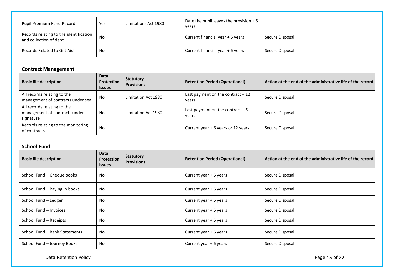| Pupil Premium Fund Record                                        | Yes       | Limitations Act 1980 | Date the pupil leaves the provision $+6$<br>vears |                 |
|------------------------------------------------------------------|-----------|----------------------|---------------------------------------------------|-----------------|
| Records relating to the identification<br>and collection of debt | <b>No</b> |                      | Current financial year + 6 years                  | Secure Disposal |
| Records Related to Gift Aid                                      | No        |                      | Current financial year + 6 years                  | Secure Disposal |

| <b>Contract Management</b>                                                |                                            |                                       |                                             |                                                            |
|---------------------------------------------------------------------------|--------------------------------------------|---------------------------------------|---------------------------------------------|------------------------------------------------------------|
| <b>Basic file description</b>                                             | <b>Data</b><br>Protection<br><b>Issues</b> | <b>Statutory</b><br><b>Provisions</b> | <b>Retention Period (Operational)</b>       | Action at the end of the administrative life of the record |
| All records relating to the<br>management of contracts under seal         | No.                                        | Limitation Act 1980                   | Last payment on the contract $+12$<br>years | Secure Disposal                                            |
| All records relating to the<br>management of contracts under<br>signature | No                                         | Limitation Act 1980                   | Last payment on the contract $+6$<br>years  | Secure Disposal                                            |
| Records relating to the monitoring<br>of contracts                        | No                                         |                                       | Current year + 6 years or 12 years          | Secure Disposal                                            |

| <b>School Fund</b>            |                                                   |                                       |                                       |                                                            |
|-------------------------------|---------------------------------------------------|---------------------------------------|---------------------------------------|------------------------------------------------------------|
| <b>Basic file description</b> | <b>Data</b><br><b>Protection</b><br><b>Issues</b> | <b>Statutory</b><br><b>Provisions</b> | <b>Retention Period (Operational)</b> | Action at the end of the administrative life of the record |
| School Fund - Cheque books    | No                                                |                                       | Current year + 6 years                | Secure Disposal                                            |
| School Fund - Paying in books | No                                                |                                       | Current year + 6 years                | Secure Disposal                                            |
| School Fund - Ledger          | No                                                |                                       | Current year $+6$ years               | Secure Disposal                                            |
| School Fund - Invoices        | No                                                |                                       | Current year + 6 years                | Secure Disposal                                            |
| School Fund - Receipts        | No                                                |                                       | Current year + 6 years                | Secure Disposal                                            |
| School Fund - Bank Statements | <b>No</b>                                         |                                       | Current year + 6 years                | Secure Disposal                                            |
| School Fund - Journey Books   | No                                                |                                       | Current year $+6$ years               | Secure Disposal                                            |

Data Retention Policy **Page 15 of 22** Page 15 of 22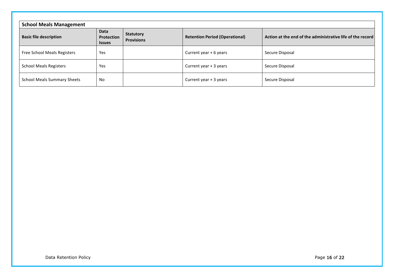| <b>School Meals Management</b>     |                                            |                                       |                                       |                                                            |  |
|------------------------------------|--------------------------------------------|---------------------------------------|---------------------------------------|------------------------------------------------------------|--|
| <b>Basic file description</b>      | <b>Data</b><br>Protection<br><b>Issues</b> | <b>Statutory</b><br><b>Provisions</b> | <b>Retention Period (Operational)</b> | Action at the end of the administrative life of the record |  |
| Free School Meals Registers        | Yes                                        |                                       | Current year + 6 years                | Secure Disposal                                            |  |
| <b>School Meals Registers</b>      | Yes                                        |                                       | Current year + 3 years                | Secure Disposal                                            |  |
| <b>School Meals Summary Sheets</b> | No                                         |                                       | Current year + 3 years                | Secure Disposal                                            |  |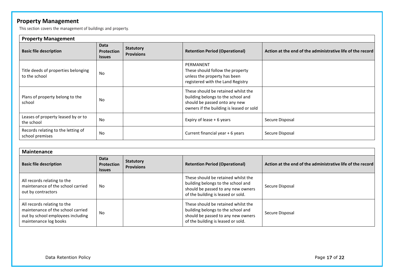# **Property Management**

This section covers the management of buildings and property.

| <b>Property Management</b>                            |                                                   |                                       |                                                                                                                                                        |                                                            |
|-------------------------------------------------------|---------------------------------------------------|---------------------------------------|--------------------------------------------------------------------------------------------------------------------------------------------------------|------------------------------------------------------------|
| <b>Basic file description</b>                         | <b>Data</b><br><b>Protection</b><br><b>Issues</b> | <b>Statutory</b><br><b>Provisions</b> | <b>Retention Period (Operational)</b>                                                                                                                  | Action at the end of the administrative life of the record |
| Title deeds of properties belonging<br>to the school  | <b>No</b>                                         |                                       | PERMANENT<br>These should follow the property<br>unless the property has been<br>registered with the Land Registry                                     |                                                            |
| Plans of property belong to the<br>school             | No                                                |                                       | These should be retained whilst the<br>building belongs to the school and<br>should be passed onto any new<br>owners if the building is leased or sold |                                                            |
| Leases of property leased by or to<br>the school      | No                                                |                                       | Expiry of lease + 6 years                                                                                                                              | Secure Disposal                                            |
| Records relating to the letting of<br>school premises | No                                                |                                       | Current financial year + 6 years                                                                                                                       | Secure Disposal                                            |

| Maintenance                                                                                                                    |                                            |                                       |                                                                                                                                                       |                                                            |
|--------------------------------------------------------------------------------------------------------------------------------|--------------------------------------------|---------------------------------------|-------------------------------------------------------------------------------------------------------------------------------------------------------|------------------------------------------------------------|
| <b>Basic file description</b>                                                                                                  | Data<br><b>Protection</b><br><b>Issues</b> | <b>Statutory</b><br><b>Provisions</b> | <b>Retention Period (Operational)</b>                                                                                                                 | Action at the end of the administrative life of the record |
| All records relating to the<br>maintenance of the school carried<br>out by contractors                                         | No                                         |                                       | These should be retained whilst the<br>building belongs to the school and<br>should be passed to any new owners<br>of the building is leased or sold. | Secure Disposal                                            |
| All records relating to the<br>maintenance of the school carried<br>out by school employees including<br>maintenance log books | No                                         |                                       | These should be retained whilst the<br>building belongs to the school and<br>should be passed to any new owners<br>of the building is leased or sold. | Secure Disposal                                            |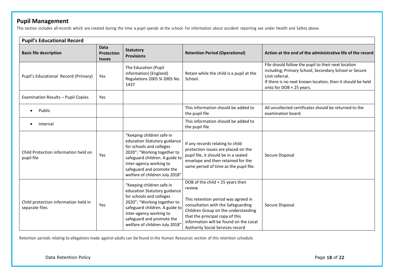## **Pupil Management**

This section includes all records which are created during the time a pupil spends at the school. For information about accident reporting see under Health and Safety above.

| <b>Pupil's Educational Record</b>                      |                                            |                                                                                                                                                                                                                                                  |                                                                                                                                                                                                                                                                                 |                                                                                                                                                                                                                          |
|--------------------------------------------------------|--------------------------------------------|--------------------------------------------------------------------------------------------------------------------------------------------------------------------------------------------------------------------------------------------------|---------------------------------------------------------------------------------------------------------------------------------------------------------------------------------------------------------------------------------------------------------------------------------|--------------------------------------------------------------------------------------------------------------------------------------------------------------------------------------------------------------------------|
| <b>Basic file description</b>                          | <b>Data</b><br>Protection<br><b>Issues</b> | <b>Statutory</b><br><b>Provisions</b>                                                                                                                                                                                                            | <b>Retention Period (Operational)</b>                                                                                                                                                                                                                                           | Action at the end of the administrative life of the record                                                                                                                                                               |
| Pupil's Educational Record (Primary)                   | Yes                                        | The Education (Pupil<br>information) (England)<br>Regulations 2005 SI 2005 No.<br>1437                                                                                                                                                           | Retain while the child is a pupil at the<br>School.                                                                                                                                                                                                                             | File should follow the pupil to their next location<br>including; Primary School, Secondary School or Secure<br>Unit referral.<br>If there is no next known location, then it should be held<br>onto for DOB + 25 years. |
| Examination Results - Pupil Copies                     | Yes                                        |                                                                                                                                                                                                                                                  |                                                                                                                                                                                                                                                                                 |                                                                                                                                                                                                                          |
| Public<br>$\bullet$                                    |                                            |                                                                                                                                                                                                                                                  | This information should be added to<br>the pupil file                                                                                                                                                                                                                           | All uncollected certificates should be returned to the<br>examination board.                                                                                                                                             |
| Internal                                               |                                            |                                                                                                                                                                                                                                                  | This information should be added to<br>the pupil file                                                                                                                                                                                                                           |                                                                                                                                                                                                                          |
| Child Protection information held on<br>pupil file     | Yes                                        | "Keeping children safe in<br>education Statutory guidance<br>for schools and colleges<br>2020"; "Working together to<br>safeguard children. A guide to<br>inter-agency working to<br>safeguard and promote the<br>welfare of children July 2018" | If any records relating to child<br>protection issues are placed on the<br>pupil file, it should be in a sealed<br>envelope and then retained for the<br>same period of time as the pupil file.                                                                                 | Secure Disposal                                                                                                                                                                                                          |
| Child protection information held in<br>separate files | Yes                                        | "Keeping children safe in<br>education Statutory guidance<br>for schools and colleges<br>2020"; "Working together to<br>safeguard children. A guide to<br>inter-agency working to<br>safeguard and promote the<br>welfare of children July 2018' | DOB of the child + 25 years then<br>review<br>This retention period was agreed in<br>consultation with the Safeguarding<br>Children Group on the understanding<br>that the principal copy of this<br>information will be found on the Local<br>Authority Social Services record | Secure Disposal                                                                                                                                                                                                          |

Retention periods relating to allegations made against adults can be found in the Human Resources section of this retention schedule.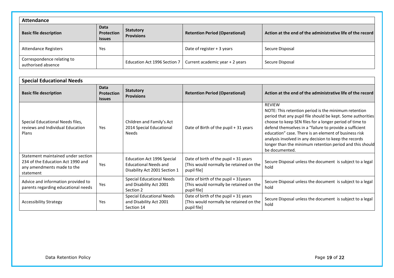| <b>Attendance</b>                                |                                     |                                       |                                       |                                                            |  |
|--------------------------------------------------|-------------------------------------|---------------------------------------|---------------------------------------|------------------------------------------------------------|--|
| <b>Basic file description</b>                    | Data<br>Protection<br><b>Issues</b> | <b>Statutory</b><br><b>Provisions</b> | <b>Retention Period (Operational)</b> | Action at the end of the administrative life of the record |  |
| <b>Attendance Registers</b>                      | Yes                                 |                                       | Date of register + 3 years            | Secure Disposal                                            |  |
| Correspondence relating to<br>authorised absence |                                     | Education Act 1996 Section 7          | Current academic year + 2 years       | Secure Disposal                                            |  |

| <b>Special Educational Needs</b>                                                                                   |                                                   |                                                                                             |                                                                                                 |                                                                                                                                                                                                                                                                                                                                                                                                                                                            |
|--------------------------------------------------------------------------------------------------------------------|---------------------------------------------------|---------------------------------------------------------------------------------------------|-------------------------------------------------------------------------------------------------|------------------------------------------------------------------------------------------------------------------------------------------------------------------------------------------------------------------------------------------------------------------------------------------------------------------------------------------------------------------------------------------------------------------------------------------------------------|
| <b>Basic file description</b>                                                                                      | Data<br><b>Protection</b><br><i><b>Issues</b></i> | <b>Statutory</b><br><b>Provisions</b>                                                       | <b>Retention Period (Operational)</b>                                                           | Action at the end of the administrative life of the record                                                                                                                                                                                                                                                                                                                                                                                                 |
| Special Educational Needs files,<br>reviews and Individual Education<br>Plans                                      | Yes                                               | Children and Family's Act<br>2014 Special Educational<br><b>Needs</b>                       | Date of Birth of the pupil + 31 years                                                           | <b>REVIEW</b><br>NOTE: This retention period is the minimum retention<br>period that any pupil file should be kept. Some authorities<br>choose to keep SEN files for a longer period of time to<br>defend themselves in a "failure to provide a sufficient<br>education" case. There is an element of business risk<br>analysis involved in any decision to keep the records<br>longer than the minimum retention period and this should<br>be documented. |
| Statement maintained under section<br>234 of the Education Act 1990 and<br>any amendments made to the<br>statement | Yes                                               | Education Act 1996 Special<br><b>Educational Needs and</b><br>Disability Act 2001 Section 1 | Date of birth of the pupil + 31 years<br>[This would normally be retained on the<br>pupil file] | Secure Disposal unless the document is subject to a legal<br>hold                                                                                                                                                                                                                                                                                                                                                                                          |
| Advice and information provided to<br>parents regarding educational needs                                          | Yes                                               | <b>Special Educational Needs</b><br>and Disability Act 2001<br>Section 2                    | Date of birth of the pupil + 31years<br>[This would normally be retained on the<br>pupil file]  | Secure Disposal unless the document is subject to a legal<br>hold                                                                                                                                                                                                                                                                                                                                                                                          |
| <b>Accessibility Strategy</b>                                                                                      | Yes                                               | <b>Special Educational Needs</b><br>and Disability Act 2001<br>Section 14                   | Date of birth of the pupil + 31 years<br>[This would normally be retained on the<br>pupil file] | Secure Disposal unless the document is subject to a legal<br>hold                                                                                                                                                                                                                                                                                                                                                                                          |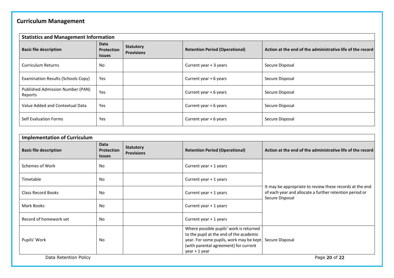# **Curriculum Management**

| <b>Statistics and Management Information</b> |                                            |                                       |                                       |                                                            |
|----------------------------------------------|--------------------------------------------|---------------------------------------|---------------------------------------|------------------------------------------------------------|
| <b>Basic file description</b>                | Data<br><b>Protection</b><br><b>Issues</b> | <b>Statutory</b><br><b>Provisions</b> | <b>Retention Period (Operational)</b> | Action at the end of the administrative life of the record |
| <b>Curriculum Returns</b>                    | No                                         |                                       | Current year + 3 years                | Secure Disposal                                            |
| Examination Results (Schools Copy)           | Yes                                        |                                       | Current year + 6 years                | Secure Disposal                                            |
| Published Admission Number (PAN)<br>Reports  | Yes                                        |                                       | Current year + 6 years                | Secure Disposal                                            |
| Value Added and Contextual Data              | Yes                                        |                                       | Current year + 6 years                | Secure Disposal                                            |
| <b>Self Evaluation Forms</b>                 | Yes                                        |                                       | Current year + 6 years                | Secure Disposal                                            |

| <b>Implementation of Curriculum</b> |                                                   |                                       |                                                                                                                                                                                         |                                                                                                                                        |
|-------------------------------------|---------------------------------------------------|---------------------------------------|-----------------------------------------------------------------------------------------------------------------------------------------------------------------------------------------|----------------------------------------------------------------------------------------------------------------------------------------|
| <b>Basic file description</b>       | <b>Data</b><br><b>Protection</b><br><b>Issues</b> | <b>Statutory</b><br><b>Provisions</b> | <b>Retention Period (Operational)</b>                                                                                                                                                   | Action at the end of the administrative life of the record                                                                             |
| Schemes of Work                     | No                                                |                                       | Current year + 1 years                                                                                                                                                                  | It may be appropriate to review these records at the end<br>of each year and allocate a further retention period or<br>Secure Disposal |
| Timetable                           | No                                                |                                       | Current year $+1$ years                                                                                                                                                                 |                                                                                                                                        |
| <b>Class Record Books</b>           | No                                                |                                       | Current year + 1 years                                                                                                                                                                  |                                                                                                                                        |
| Mark Books                          | No                                                |                                       | Current year + 1 years                                                                                                                                                                  |                                                                                                                                        |
| Record of homework set              | No                                                |                                       | Current year + 1 years                                                                                                                                                                  |                                                                                                                                        |
| Pupils' Work                        | No                                                |                                       | Where possible pupils' work is returned<br>to the pupil at the end of the academic<br>year. For some pupils, work may be kept<br>(with parental agreement) for current<br>year + 1 year | Secure Disposal                                                                                                                        |
| Data Retention Policy               |                                                   |                                       |                                                                                                                                                                                         | Page 20 of 22                                                                                                                          |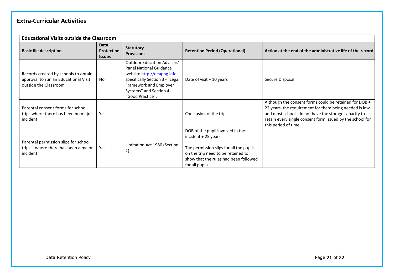# **Extra-Curricular Activities**

| <b>Educational Visits outside the Classroom</b>                                                       |                                     |                                                                                                                                                                                                          |                                                                                                                                                                                                     |                                                                                                                                                                                                                                                               |
|-------------------------------------------------------------------------------------------------------|-------------------------------------|----------------------------------------------------------------------------------------------------------------------------------------------------------------------------------------------------------|-----------------------------------------------------------------------------------------------------------------------------------------------------------------------------------------------------|---------------------------------------------------------------------------------------------------------------------------------------------------------------------------------------------------------------------------------------------------------------|
| <b>Basic file description</b>                                                                         | Data<br>Protection<br><b>Issues</b> | <b>Statutory</b><br><b>Provisions</b>                                                                                                                                                                    | <b>Retention Period (Operational)</b>                                                                                                                                                               | Action at the end of the administrative life of the record                                                                                                                                                                                                    |
| Records created by schools to obtain<br>approval to run an Educational Visit<br>outside the Classroom | No.                                 | <b>Outdoor Education Advisers'</b><br>Panel National Guidance<br>website http://oeapng.info<br>specifically Section 3 - "Legal<br>Framework and Employer<br>Systems" and Section 4 -<br>"Good Practice". | Date of visit + 10 years                                                                                                                                                                            | Secure Disposal                                                                                                                                                                                                                                               |
| Parental consent forms for school<br>trips where there has been no major<br>incident                  | Yes                                 |                                                                                                                                                                                                          | Conclusion of the trip                                                                                                                                                                              | Although the consent forms could be retained for DOB +<br>22 years, the requirement for them being needed is low<br>and most schools do not have the storage capacity to<br>retain every single consent form issued by the school for<br>this period of time. |
| Parental permission slips for school<br>trips - where there has been a major<br>incident              | Yes                                 | Limitation Act 1980 (Section<br>2)                                                                                                                                                                       | DOB of the pupil involved in the<br>incident + 25 years<br>The permission slips for all the pupils<br>on the trip need to be retained to<br>show that the rules had been followed<br>for all pupils |                                                                                                                                                                                                                                                               |